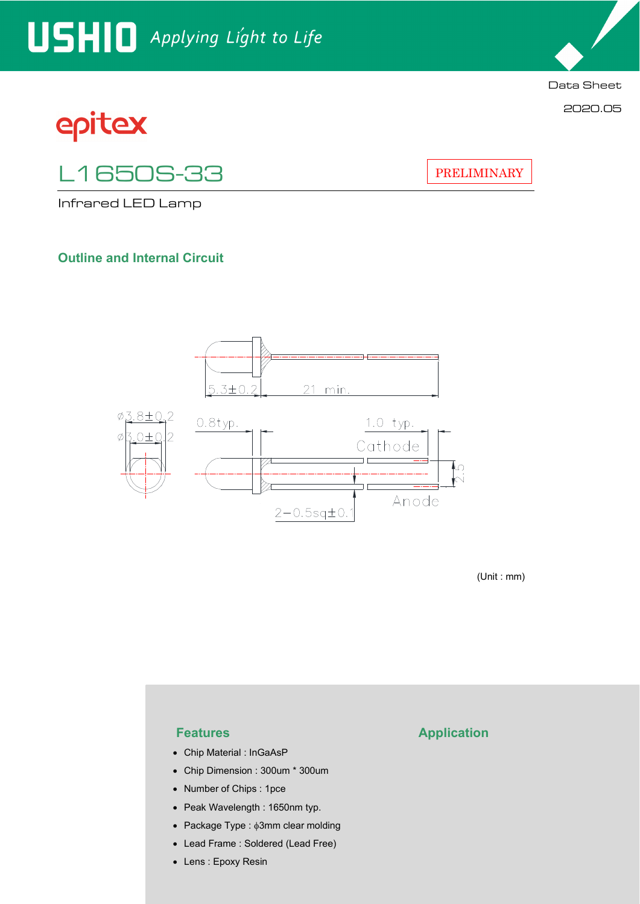# USHIO Applying Light to Life

# epitex

L1650S-33

Infrared LED Lamp

### **Outline and Internal Circuit**



(Unit : mm)

- Chip Material : InGaAsP
- Chip Dimension : 300um \* 300um
- Number of Chips : 1pce
- Peak Wavelength : 1650nm typ.
- Package Type :  $\phi$ 3mm clear molding
- Lead Frame : Soldered (Lead Free)
- Lens : Epoxy Resin

#### **Features Application**

PRELIMINARY

Data Sheet

2020.05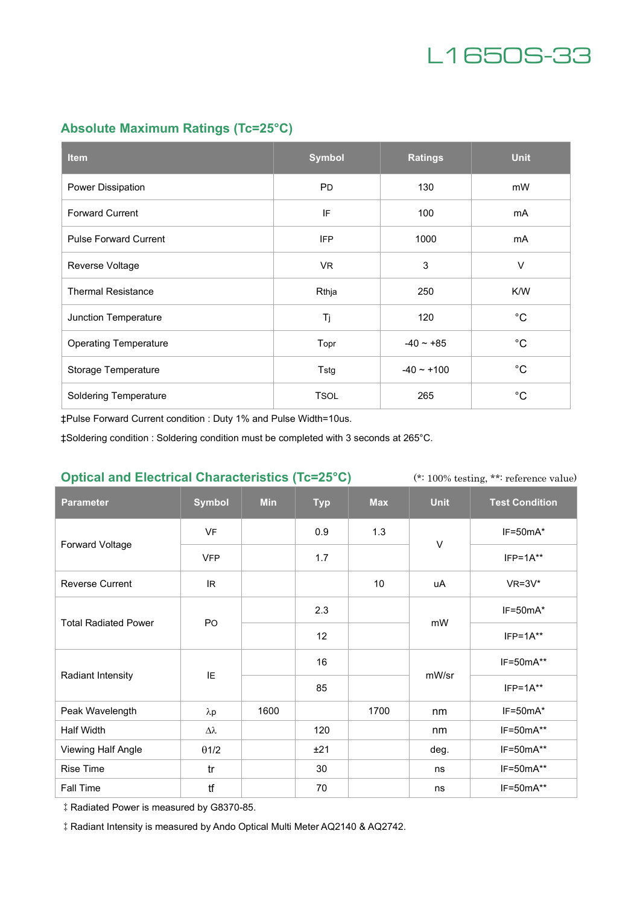

### **Absolute Maximum Ratings (Tc=25°C)**

| <b>Item</b>                  | <b>Symbol</b> | <b>Ratings</b>  | <b>Unit</b> |
|------------------------------|---------------|-----------------|-------------|
| Power Dissipation            | <b>PD</b>     | 130             | mW          |
| <b>Forward Current</b>       | IF            | 100             | mA          |
| <b>Pulse Forward Current</b> | <b>IFP</b>    | 1000            | mA          |
| Reverse Voltage              | VR.           | 3               | $\vee$      |
| <b>Thermal Resistance</b>    | Rthja         | 250             | K/W         |
| Junction Temperature         | Tj            | 120             | $^{\circ}C$ |
| <b>Operating Temperature</b> | Topr          | $-40 - +85$     | $^{\circ}C$ |
| Storage Temperature          | Tstg          | $-40 \sim +100$ | $^{\circ}C$ |
| <b>Soldering Temperature</b> | <b>TSOL</b>   | 265             | $^{\circ}C$ |

‡Pulse Forward Current condition : Duty 1% and Pulse Width=10us.

‡Soldering condition : Soldering condition must be completed with 3 seconds at 265°C.

#### **Optical and Electrical Characteristics (Tc=25°C)**

(\*: 100% testing, \*\*: reference value)

| <b>Parameter</b>            | <b>Symbol</b> | <b>Min</b> | <b>Typ</b> | <b>Max</b> | <b>Unit</b> | <b>Test Condition</b> |
|-----------------------------|---------------|------------|------------|------------|-------------|-----------------------|
| Forward Voltage             | <b>VF</b>     |            | 0.9        | 1.3        | $\vee$      | $IF=50mA*$            |
|                             | <b>VFP</b>    |            | 1.7        |            |             | $IFP=1A**$            |
| <b>Reverse Current</b>      | IR.           |            |            | 10         | uA          | $VR=3V^*$             |
| <b>Total Radiated Power</b> | PO            |            | 2.3        |            | mW          | $IF=50mA*$            |
|                             |               |            | 12         |            |             | $IFP=1A**$            |
| Radiant Intensity           | IE            |            | 16         |            | mW/sr       | IF=50mA**             |
|                             |               |            | 85         |            |             | $IFP=1A**$            |
| Peak Wavelength             | $\lambda p$   | 1600       |            | 1700       | nm          | $IF=50mA*$            |
| Half Width                  | Δλ            |            | 120        |            | nm          | $IF=50mA**$           |
| Viewing Half Angle          | $\theta$ 1/2  |            | ±21        |            | deg.        | $IF=50mA**$           |
| Rise Time                   | tr            |            | 30         |            | ns          | IF=50mA**             |
| Fall Time                   | tf            |            | 70         |            | ns          | IF=50mA**             |

‡Radiated Power is measured by G8370-85.

‡Radiant Intensity is measured by Ando Optical Multi Meter AQ2140 & AQ2742.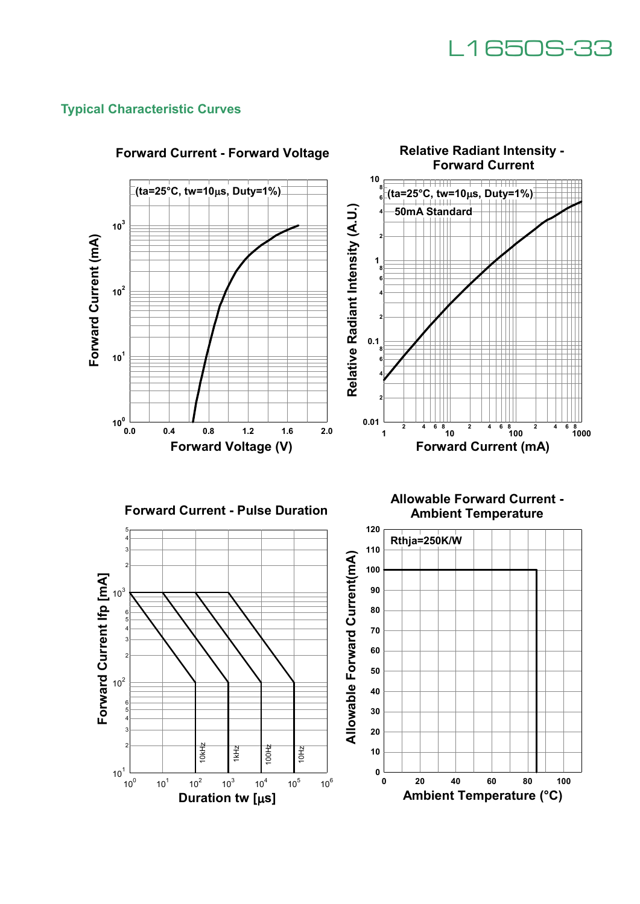

#### **Typical Characteristic Curves**

 $10^{1}$ 

 $10^{0}$ 

 $10^{1}$ 

 $10^{2}$ 

 $10^3$ 

 $\frac{1}{\frac{3}{2}}$   $\frac{1}{2}$   $\frac{1}{2}$   $\frac{1}{2}$   $\frac{1}{2}$   $\frac{1}{2}$   $\frac{1}{2}$   $\frac{1}{2}$   $\frac{1}{2}$   $\frac{1}{2}$   $\frac{1}{2}$   $\frac{1}{2}$   $\frac{1}{2}$   $\frac{1}{2}$   $\frac{1}{2}$   $\frac{1}{2}$   $\frac{1}{2}$   $\frac{1}{2}$   $\frac{1}{2}$   $\frac{1}{2}$   $\frac{1}{2}$   $\frac{1}{$ 

 $10^{4}$ 

 $10^5$ 

10Hz

 $10^6$ 



  $\frac{1}{\mathbf{0}}$  **20 40 60 80 100 Ambient Temperature (°C)**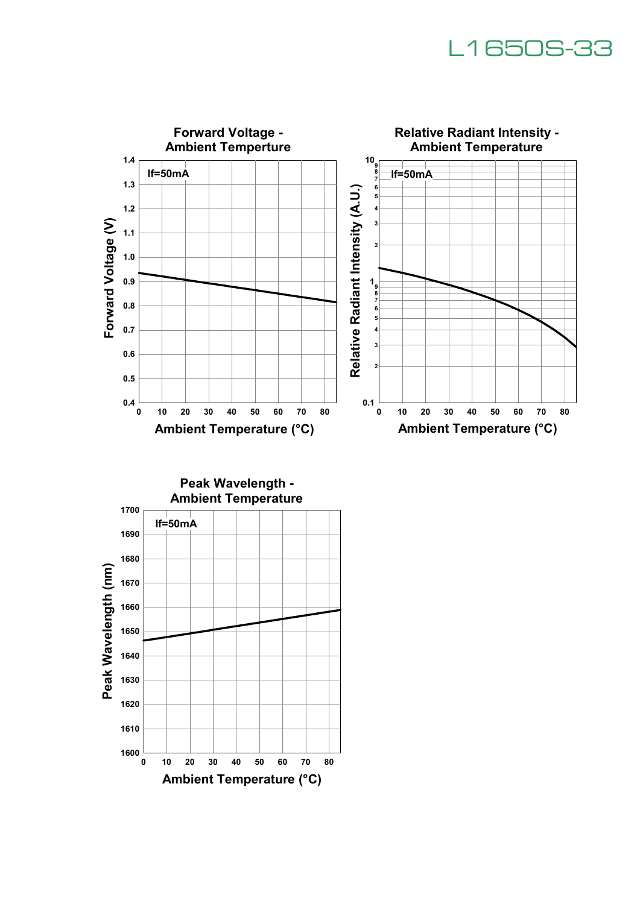## L1650S-33



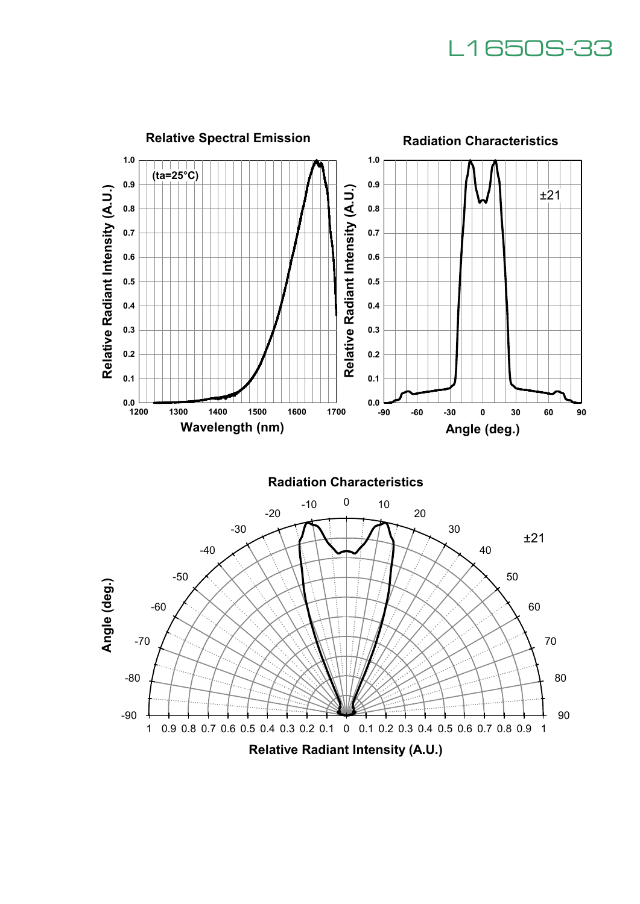## L1650S-33